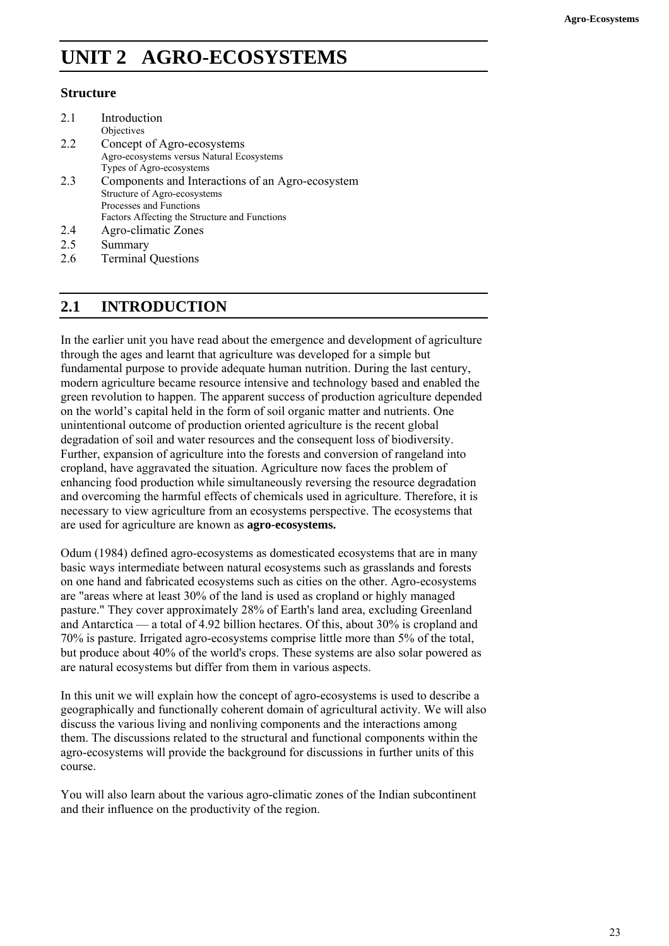# **UNIT 2 AGRO-ECOSYSTEMS**

# **Structure**

| 2.1 | Introduction                                     |
|-----|--------------------------------------------------|
|     | Objectives                                       |
| 22  | Concept of Agro-ecosystems                       |
|     | Agro-ecosystems versus Natural Ecosystems        |
|     | Types of Agro-ecosystems                         |
| 23  | Components and Interactions of an Agro-ecosystem |
|     | Structure of Agro-ecosystems                     |
|     | Processes and Functions                          |
|     | Factors Affecting the Structure and Functions    |
| 24  | Agro-climatic Zones                              |
| つく  | $S$ ummory                                       |

- 2.5 Summary
- 2.6 Terminal Questions

# **2.1 INTRODUCTION**

In the earlier unit you have read about the emergence and development of agriculture through the ages and learnt that agriculture was developed for a simple but fundamental purpose to provide adequate human nutrition. During the last century, modern agriculture became resource intensive and technology based and enabled the green revolution to happen. The apparent success of production agriculture depended on the world's capital held in the form of soil organic matter and nutrients. One unintentional outcome of production oriented agriculture is the recent global degradation of soil and water resources and the consequent loss of biodiversity. Further, expansion of agriculture into the forests and conversion of rangeland into cropland, have aggravated the situation. Agriculture now faces the problem of enhancing food production while simultaneously reversing the resource degradation and overcoming the harmful effects of chemicals used in agriculture. Therefore, it is necessary to view agriculture from an ecosystems perspective. The ecosystems that are used for agriculture are known as **agro-ecosystems.** 

Odum (1984) defined agro-ecosystems as domesticated ecosystems that are in many basic ways intermediate between natural ecosystems such as grasslands and forests on one hand and fabricated ecosystems such as cities on the other. Agro-ecosystems are "areas where at least 30% of the land is used as cropland or highly managed pasture." They cover approximately 28% of Earth's land area, excluding Greenland and Antarctica — a total of 4.92 billion hectares. Of this, about 30% is cropland and 70% is pasture. Irrigated agro-ecosystems comprise little more than 5% of the total, but produce about 40% of the world's crops. These systems are also solar powered as are natural ecosystems but differ from them in various aspects.

In this unit we will explain how the concept of agro-ecosystems is used to describe a geographically and functionally coherent domain of agricultural activity. We will also discuss the various living and nonliving components and the interactions among them. The discussions related to the structural and functional components within the agro-ecosystems will provide the background for discussions in further units of this course.

You will also learn about the various agro-climatic zones of the Indian subcontinent and their influence on the productivity of the region.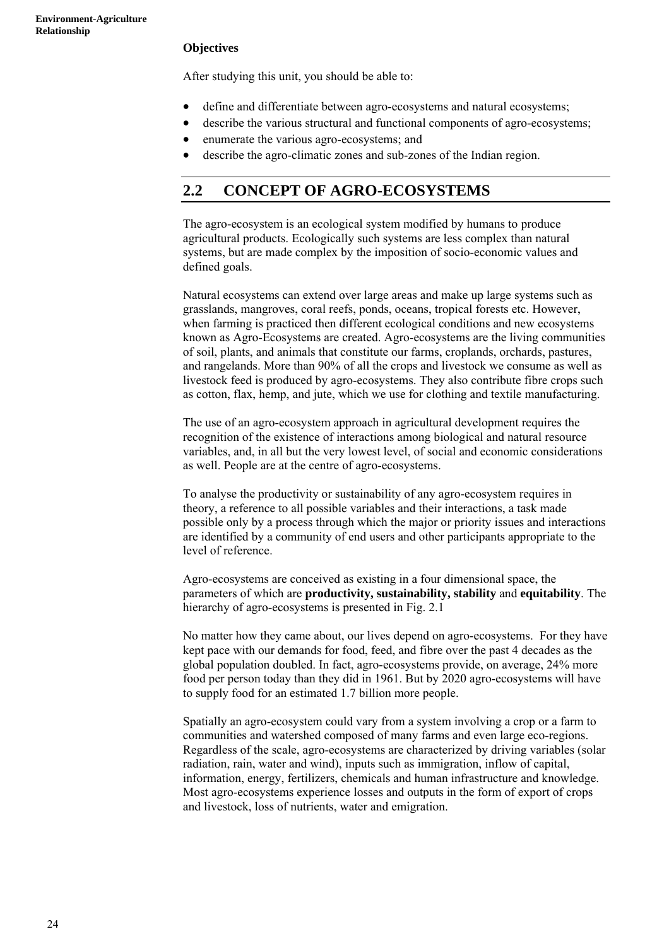# **Objectives**

After studying this unit, you should be able to:

- define and differentiate between agro-ecosystems and natural ecosystems;
- describe the various structural and functional components of agro-ecosystems;
- enumerate the various agro-ecosystems; and
- describe the agro-climatic zones and sub-zones of the Indian region.

# **2.2 CONCEPT OF AGRO-ECOSYSTEMS**

The agro-ecosystem is an ecological system modified by humans to produce agricultural products. Ecologically such systems are less complex than natural systems, but are made complex by the imposition of socio-economic values and defined goals.

Natural ecosystems can extend over large areas and make up large systems such as grasslands, mangroves, coral reefs, ponds, oceans, tropical forests etc. However, when farming is practiced then different ecological conditions and new ecosystems known as Agro-Ecosystems are created. Agro-ecosystems are the living communities of soil, plants, and animals that constitute our farms, croplands, orchards, pastures, and rangelands. More than 90% of all the crops and livestock we consume as well as livestock feed is produced by agro-ecosystems. They also contribute fibre crops such as cotton, flax, hemp, and jute, which we use for clothing and textile manufacturing.

The use of an agro-ecosystem approach in agricultural development requires the recognition of the existence of interactions among biological and natural resource variables, and, in all but the very lowest level, of social and economic considerations as well. People are at the centre of agro-ecosystems.

To analyse the productivity or sustainability of any agro-ecosystem requires in theory, a reference to all possible variables and their interactions, a task made possible only by a process through which the major or priority issues and interactions are identified by a community of end users and other participants appropriate to the level of reference.

Agro-ecosystems are conceived as existing in a four dimensional space, the parameters of which are **productivity, sustainability, stability** and **equitability**. The hierarchy of agro-ecosystems is presented in Fig. 2.1

No matter how they came about, our lives depend on agro-ecosystems. For they have kept pace with our demands for food, feed, and fibre over the past 4 decades as the global population doubled. In fact, agro-ecosystems provide, on average, 24% more food per person today than they did in 1961. But by 2020 agro-ecosystems will have to supply food for an estimated 1.7 billion more people.

Spatially an agro-ecosystem could vary from a system involving a crop or a farm to communities and watershed composed of many farms and even large eco-regions. Regardless of the scale, agro-ecosystems are characterized by driving variables (solar radiation, rain, water and wind), inputs such as immigration, inflow of capital, information, energy, fertilizers, chemicals and human infrastructure and knowledge. Most agro-ecosystems experience losses and outputs in the form of export of crops and livestock, loss of nutrients, water and emigration.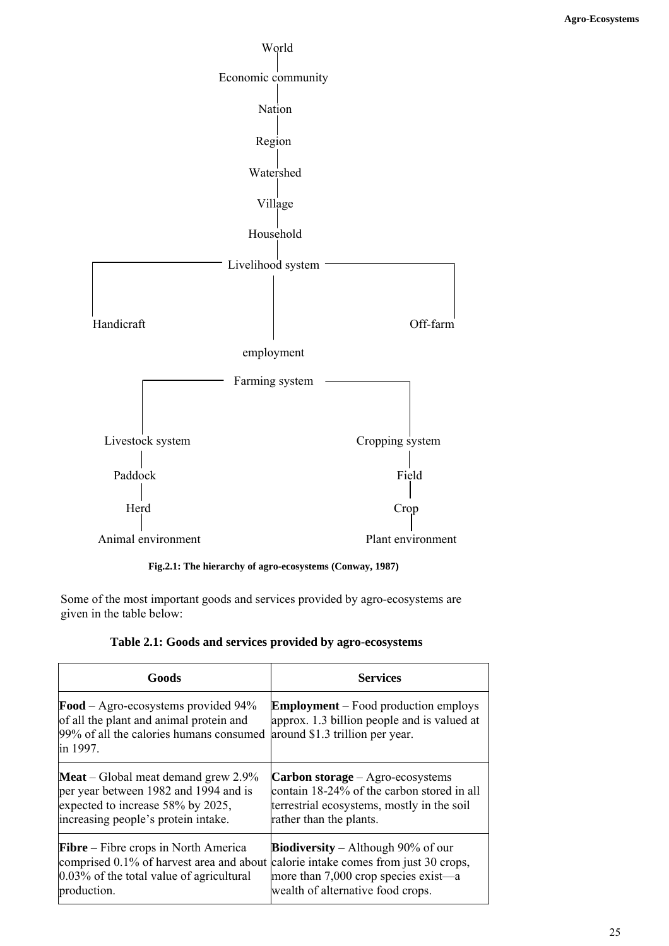

**Fig.2.1: The hierarchy of agro-ecosystems (Conway, 1987)** 

Some of the most important goods and services provided by agro-ecosystems are given in the table below:

|  | Table 2.1: Goods and services provided by agro-ecosystems |
|--|-----------------------------------------------------------|
|--|-----------------------------------------------------------|

| Goods                                                                                                                                           | <b>Services</b>                                                                                                               |  |
|-------------------------------------------------------------------------------------------------------------------------------------------------|-------------------------------------------------------------------------------------------------------------------------------|--|
| <b>Food</b> – Agro-ecosystems provided $94\%$<br>of all the plant and animal protein and<br>99% of all the calories humans consumed<br>in 1997. | <b>Employment</b> – Food production employs<br>approx. 1.3 billion people and is valued at<br>around \$1.3 trillion per year. |  |
| <b>Meat</b> – Global meat demand grew $2.9\%$                                                                                                   | <b>Carbon storage</b> – Agro-ecosystems                                                                                       |  |
| per year between 1982 and 1994 and is                                                                                                           | contain 18-24% of the carbon stored in all                                                                                    |  |
| expected to increase 58% by 2025,                                                                                                               | terrestrial ecosystems, mostly in the soil                                                                                    |  |
| increasing people's protein intake.                                                                                                             | rather than the plants.                                                                                                       |  |
| $Fibre - Fibre crops$ in North America                                                                                                          | <b>Biodiversity</b> – Although 90% of our                                                                                     |  |
| comprised 0.1% of harvest area and about                                                                                                        | calorie intake comes from just 30 crops,                                                                                      |  |
| $0.03\%$ of the total value of agricultural                                                                                                     | more than 7,000 crop species exist—a                                                                                          |  |
| production.                                                                                                                                     | wealth of alternative food crops.                                                                                             |  |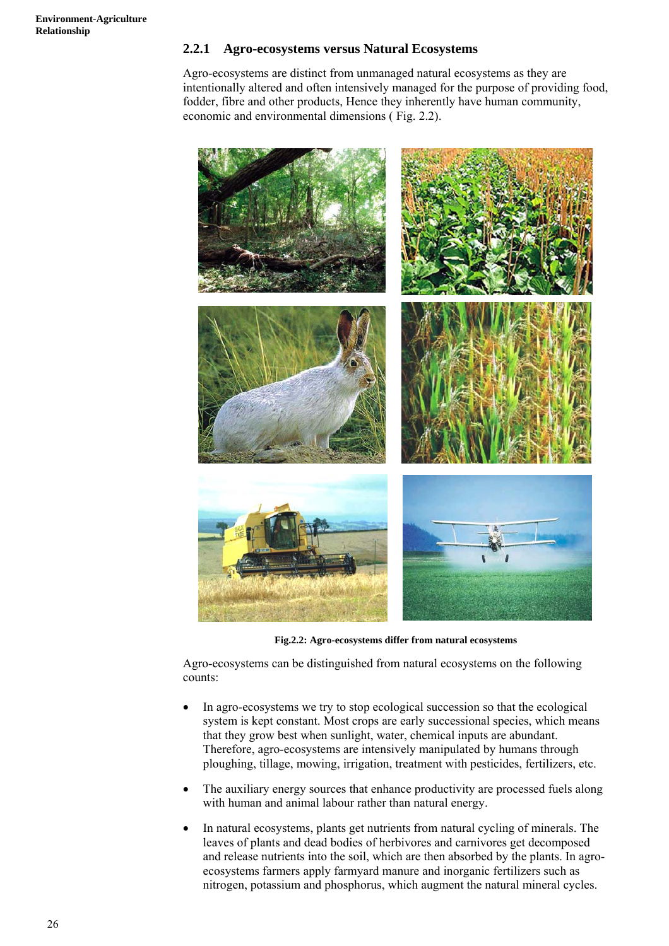# **2.2.1 Agro-ecosystems versus Natural Ecosystems**

Agro-ecosystems are distinct from unmanaged natural ecosystems as they are intentionally altered and often intensively managed for the purpose of providing food, fodder, fibre and other products, Hence they inherently have human community, economic and environmental dimensions ( Fig. 2.2).



**Fig.2.2: Agro-ecosystems differ from natural ecosystems** 

Agro-ecosystems can be distinguished from natural ecosystems on the following counts:

- In agro-ecosystems we try to stop ecological succession so that the ecological system is kept constant. Most crops are early successional species, which means that they grow best when sunlight, water, chemical inputs are abundant. Therefore, agro-ecosystems are intensively manipulated by humans through ploughing, tillage, mowing, irrigation, treatment with pesticides, fertilizers, etc.
- The auxiliary energy sources that enhance productivity are processed fuels along with human and animal labour rather than natural energy.
- In natural ecosystems, plants get nutrients from natural cycling of minerals. The leaves of plants and dead bodies of herbivores and carnivores get decomposed and release nutrients into the soil, which are then absorbed by the plants. In agroecosystems farmers apply farmyard manure and inorganic fertilizers such as nitrogen, potassium and phosphorus, which augment the natural mineral cycles.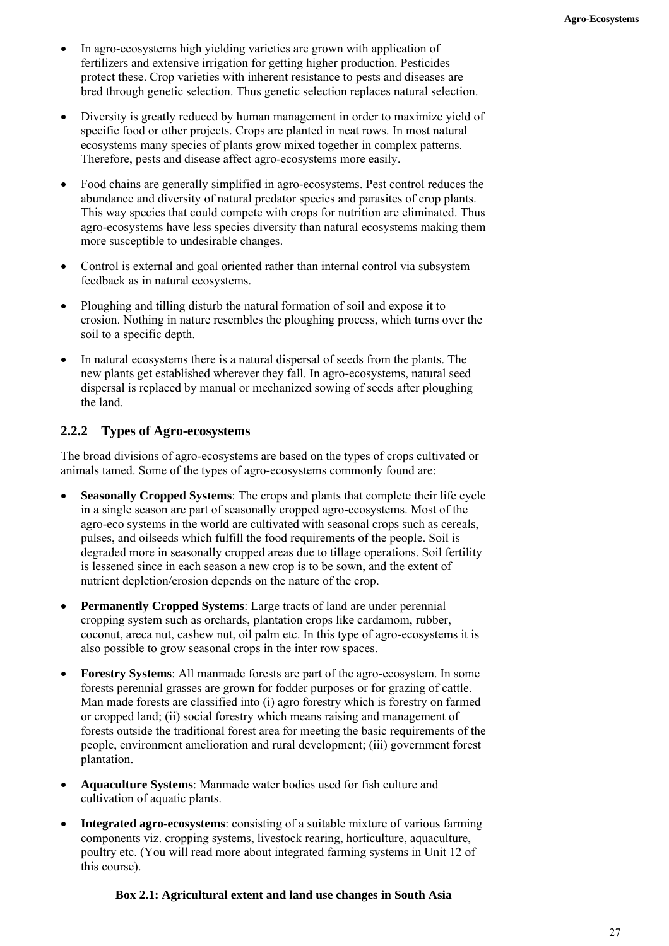- In agro-ecosystems high yielding varieties are grown with application of fertilizers and extensive irrigation for getting higher production. Pesticides protect these. Crop varieties with inherent resistance to pests and diseases are bred through genetic selection. Thus genetic selection replaces natural selection.
- Diversity is greatly reduced by human management in order to maximize yield of specific food or other projects. Crops are planted in neat rows. In most natural ecosystems many species of plants grow mixed together in complex patterns. Therefore, pests and disease affect agro-ecosystems more easily.
- Food chains are generally simplified in agro-ecosystems. Pest control reduces the abundance and diversity of natural predator species and parasites of crop plants. This way species that could compete with crops for nutrition are eliminated. Thus agro-ecosystems have less species diversity than natural ecosystems making them more susceptible to undesirable changes.
- Control is external and goal oriented rather than internal control via subsystem feedback as in natural ecosystems.
- Ploughing and tilling disturb the natural formation of soil and expose it to erosion. Nothing in nature resembles the ploughing process, which turns over the soil to a specific depth.
- In natural ecosystems there is a natural dispersal of seeds from the plants. The new plants get established wherever they fall. In agro-ecosystems, natural seed dispersal is replaced by manual or mechanized sowing of seeds after ploughing the land.

# **2.2.2 Types of Agro-ecosystems**

The broad divisions of agro-ecosystems are based on the types of crops cultivated or animals tamed. Some of the types of agro-ecosystems commonly found are:

- **Seasonally Cropped Systems**: The crops and plants that complete their life cycle in a single season are part of seasonally cropped agro-ecosystems. Most of the agro-eco systems in the world are cultivated with seasonal crops such as cereals, pulses, and oilseeds which fulfill the food requirements of the people. Soil is degraded more in seasonally cropped areas due to tillage operations. Soil fertility is lessened since in each season a new crop is to be sown, and the extent of nutrient depletion/erosion depends on the nature of the crop.
- **Permanently Cropped Systems**: Large tracts of land are under perennial cropping system such as orchards, plantation crops like cardamom, rubber, coconut, areca nut, cashew nut, oil palm etc. In this type of agro-ecosystems it is also possible to grow seasonal crops in the inter row spaces.
- **Forestry Systems**: All manmade forests are part of the agro-ecosystem. In some forests perennial grasses are grown for fodder purposes or for grazing of cattle. Man made forests are classified into (i) agro forestry which is forestry on farmed or cropped land; (ii) social forestry which means raising and management of forests outside the traditional forest area for meeting the basic requirements of the people, environment amelioration and rural development; (iii) government forest plantation.
- **Aquaculture Systems**: Manmade water bodies used for fish culture and cultivation of aquatic plants.
- **Integrated agro-ecosystems**: consisting of a suitable mixture of various farming components viz. cropping systems, livestock rearing, horticulture, aquaculture, poultry etc. (You will read more about integrated farming systems in Unit 12 of this course).

## **Box 2.1: Agricultural extent and land use changes in South Asia**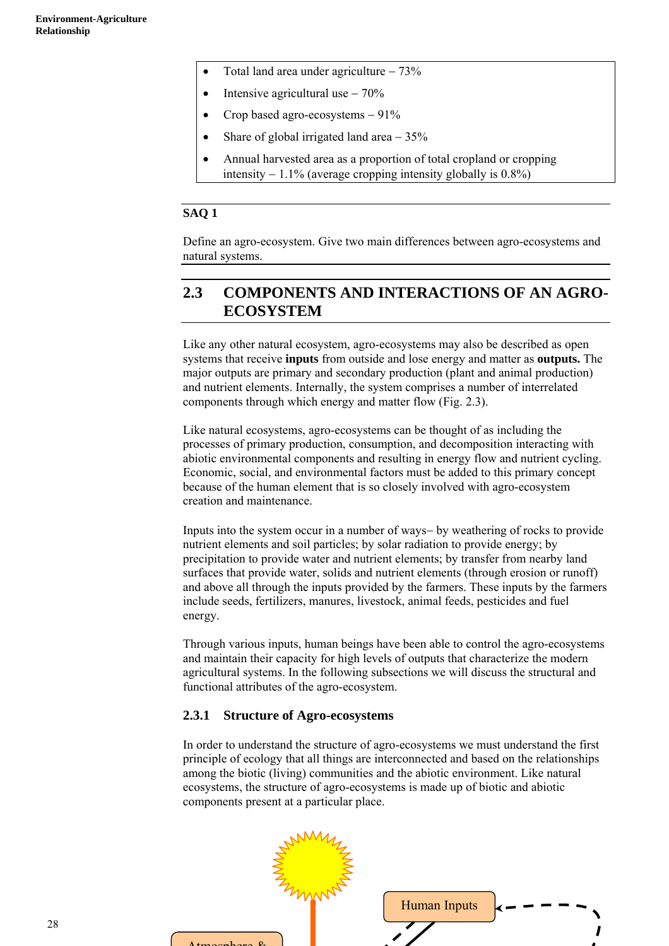- Total land area under agriculture − 73%
- Intensive agricultural use 70%
- Crop based agro-ecosystems − 91%
- Share of global irrigated land area 35%
- Annual harvested area as a proportion of total cropland or cropping intensity  $-1.1\%$  (average cropping intensity globally is 0.8%)

# **SAQ 1**

Define an agro-ecosystem. Give two main differences between agro-ecosystems and natural systems.

# **2.3 COMPONENTS AND INTERACTIONS OF AN AGRO-ECOSYSTEM**

Like any other natural ecosystem, agro-ecosystems may also be described as open systems that receive **inputs** from outside and lose energy and matter as **outputs.** The major outputs are primary and secondary production (plant and animal production) and nutrient elements. Internally, the system comprises a number of interrelated components through which energy and matter flow (Fig. 2.3).

Like natural ecosystems, agro-ecosystems can be thought of as including the processes of primary production, consumption, and decomposition interacting with abiotic environmental components and resulting in energy flow and nutrient cycling. Economic, social, and environmental factors must be added to this primary concept because of the human element that is so closely involved with agro-ecosystem creation and maintenance.

Inputs into the system occur in a number of ways− by weathering of rocks to provide nutrient elements and soil particles; by solar radiation to provide energy; by precipitation to provide water and nutrient elements; by transfer from nearby land surfaces that provide water, solids and nutrient elements (through erosion or runoff) and above all through the inputs provided by the farmers. These inputs by the farmers include seeds, fertilizers, manures, livestock, animal feeds, pesticides and fuel energy.

Through various inputs, human beings have been able to control the agro-ecosystems and maintain their capacity for high levels of outputs that characterize the modern agricultural systems. In the following subsections we will discuss the structural and functional attributes of the agro-ecosystem.

# **2.3.1 Structure of Agro-ecosystems**

In order to understand the structure of agro-ecosystems we must understand the first principle of ecology that all things are interconnected and based on the relationships among the biotic (living) communities and the abiotic environment. Like natural ecosystems, the structure of agro-ecosystems is made up of biotic and abiotic components present at a particular place.



28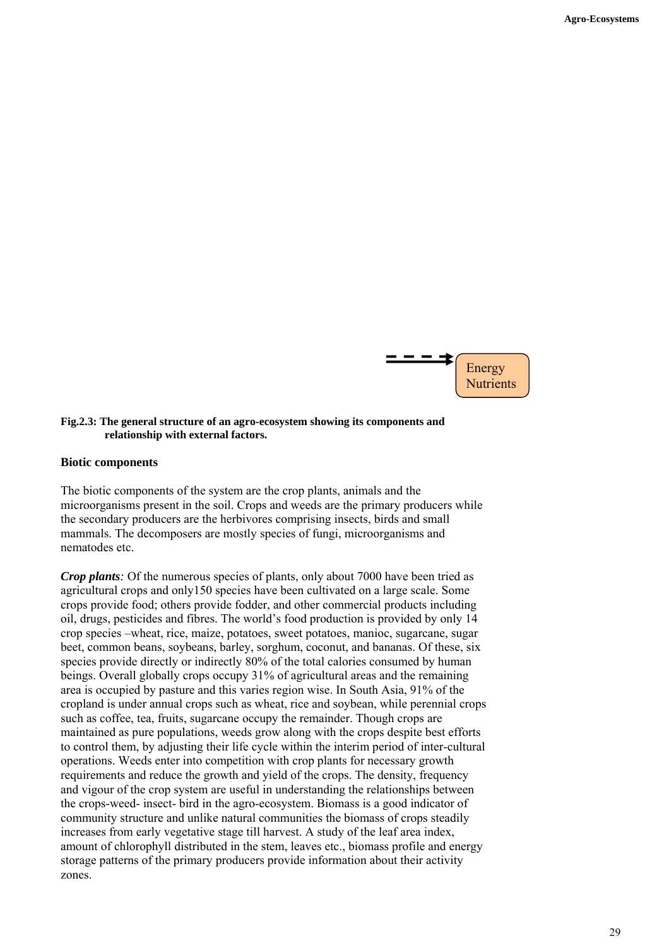

#### **Fig.2.3: The general structure of an agro-ecosystem showing its components and relationship with external factors.**

#### **Biotic components**

The biotic components of the system are the crop plants, animals and the microorganisms present in the soil. Crops and weeds are the primary producers while the secondary producers are the herbivores comprising insects, birds and small mammals. The decomposers are mostly species of fungi, microorganisms and nematodes etc.

*Crop plants*: Of the numerous species of plants, only about 7000 have been tried as agricultural crops and only150 species have been cultivated on a large scale. Some crops provide food; others provide fodder, and other commercial products including oil, drugs, pesticides and fibres. The world's food production is provided by only 14 crop species –wheat, rice, maize, potatoes, sweet potatoes, manioc, sugarcane, sugar beet, common beans, soybeans, barley, sorghum, coconut, and bananas. Of these, six species provide directly or indirectly 80% of the total calories consumed by human beings. Overall globally crops occupy 31% of agricultural areas and the remaining area is occupied by pasture and this varies region wise. In South Asia, 91% of the cropland is under annual crops such as wheat, rice and soybean, while perennial crops such as coffee, tea, fruits, sugarcane occupy the remainder. Though crops are maintained as pure populations, weeds grow along with the crops despite best efforts to control them, by adjusting their life cycle within the interim period of inter-cultural operations. Weeds enter into competition with crop plants for necessary growth requirements and reduce the growth and yield of the crops. The density, frequency and vigour of the crop system are useful in understanding the relationships between the crops-weed- insect- bird in the agro-ecosystem. Biomass is a good indicator of community structure and unlike natural communities the biomass of crops steadily increases from early vegetative stage till harvest. A study of the leaf area index, amount of chlorophyll distributed in the stem, leaves etc., biomass profile and energy storage patterns of the primary producers provide information about their activity zones.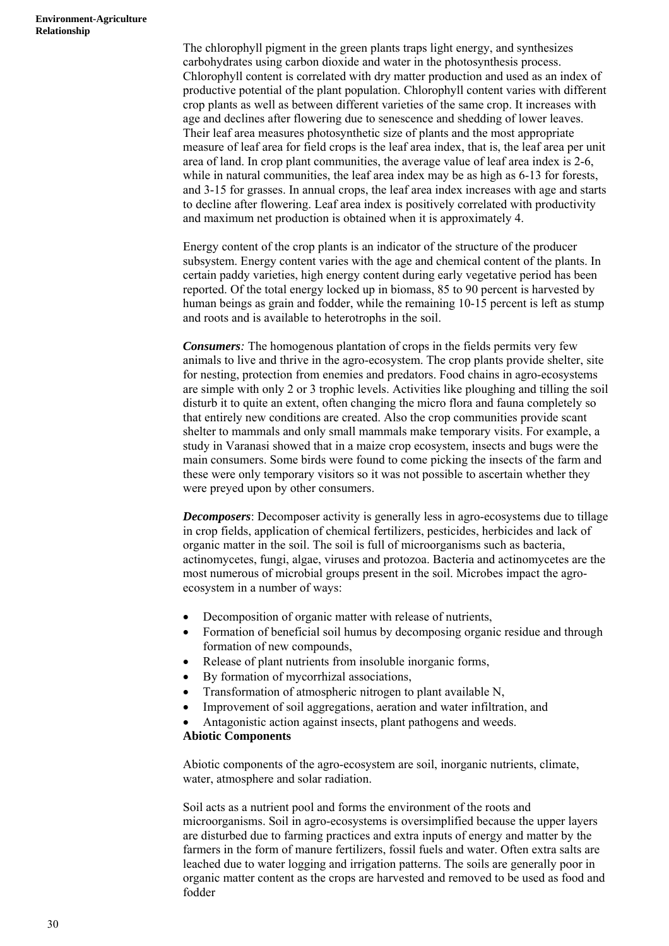The chlorophyll pigment in the green plants traps light energy, and synthesizes carbohydrates using carbon dioxide and water in the photosynthesis process. Chlorophyll content is correlated with dry matter production and used as an index of productive potential of the plant population. Chlorophyll content varies with different crop plants as well as between different varieties of the same crop. It increases with age and declines after flowering due to senescence and shedding of lower leaves. Their leaf area measures photosynthetic size of plants and the most appropriate measure of leaf area for field crops is the leaf area index, that is, the leaf area per unit area of land. In crop plant communities, the average value of leaf area index is 2-6, while in natural communities, the leaf area index may be as high as 6-13 for forests, and 3-15 for grasses. In annual crops, the leaf area index increases with age and starts to decline after flowering. Leaf area index is positively correlated with productivity and maximum net production is obtained when it is approximately 4.

Energy content of the crop plants is an indicator of the structure of the producer subsystem. Energy content varies with the age and chemical content of the plants. In certain paddy varieties, high energy content during early vegetative period has been reported. Of the total energy locked up in biomass, 85 to 90 percent is harvested by human beings as grain and fodder, while the remaining 10-15 percent is left as stump and roots and is available to heterotrophs in the soil.

*Consumers:* The homogenous plantation of crops in the fields permits very few animals to live and thrive in the agro-ecosystem. The crop plants provide shelter, site for nesting, protection from enemies and predators. Food chains in agro-ecosystems are simple with only 2 or 3 trophic levels. Activities like ploughing and tilling the soil disturb it to quite an extent, often changing the micro flora and fauna completely so that entirely new conditions are created. Also the crop communities provide scant shelter to mammals and only small mammals make temporary visits. For example, a study in Varanasi showed that in a maize crop ecosystem, insects and bugs were the main consumers. Some birds were found to come picking the insects of the farm and these were only temporary visitors so it was not possible to ascertain whether they were preyed upon by other consumers.

*Decomposers*: Decomposer activity is generally less in agro-ecosystems due to tillage in crop fields, application of chemical fertilizers, pesticides, herbicides and lack of organic matter in the soil. The soil is full of microorganisms such as bacteria, actinomycetes, fungi, algae, viruses and protozoa. Bacteria and actinomycetes are the most numerous of microbial groups present in the soil. Microbes impact the agroecosystem in a number of ways:

- Decomposition of organic matter with release of nutrients,
- Formation of beneficial soil humus by decomposing organic residue and through formation of new compounds,
- Release of plant nutrients from insoluble inorganic forms,
- By formation of mycorrhizal associations,
- Transformation of atmospheric nitrogen to plant available N,
- Improvement of soil aggregations, aeration and water infiltration, and
- Antagonistic action against insects, plant pathogens and weeds.

#### **Abiotic Components**

Abiotic components of the agro-ecosystem are soil, inorganic nutrients, climate, water, atmosphere and solar radiation.

Soil acts as a nutrient pool and forms the environment of the roots and microorganisms. Soil in agro-ecosystems is oversimplified because the upper layers are disturbed due to farming practices and extra inputs of energy and matter by the farmers in the form of manure fertilizers, fossil fuels and water. Often extra salts are leached due to water logging and irrigation patterns. The soils are generally poor in organic matter content as the crops are harvested and removed to be used as food and fodder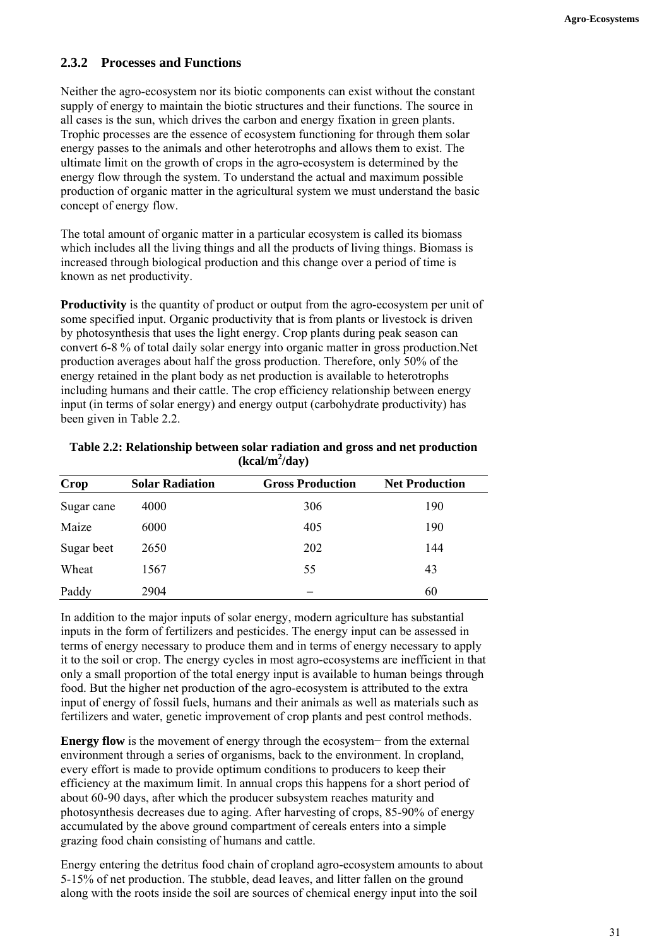# **2.3.2 Processes and Functions**

Neither the agro-ecosystem nor its biotic components can exist without the constant supply of energy to maintain the biotic structures and their functions. The source in all cases is the sun, which drives the carbon and energy fixation in green plants. Trophic processes are the essence of ecosystem functioning for through them solar energy passes to the animals and other heterotrophs and allows them to exist. The ultimate limit on the growth of crops in the agro-ecosystem is determined by the energy flow through the system. To understand the actual and maximum possible production of organic matter in the agricultural system we must understand the basic concept of energy flow.

The total amount of organic matter in a particular ecosystem is called its biomass which includes all the living things and all the products of living things. Biomass is increased through biological production and this change over a period of time is known as net productivity.

**Productivity** is the quantity of product or output from the agro-ecosystem per unit of some specified input. Organic productivity that is from plants or livestock is driven by photosynthesis that uses the light energy. Crop plants during peak season can convert 6-8 % of total daily solar energy into organic matter in gross production.Net production averages about half the gross production. Therefore, only 50% of the energy retained in the plant body as net production is available to heterotrophs including humans and their cattle. The crop efficiency relationship between energy input (in terms of solar energy) and energy output (carbohydrate productivity) has been given in Table 2.2.

| Table 2.2: Relationship between solar radiation and gross and net production |
|------------------------------------------------------------------------------|
| $(kcal/m^2/day)$                                                             |

| <b>Crop</b> | <b>Solar Radiation</b> | <b>Gross Production</b> | <b>Net Production</b> |
|-------------|------------------------|-------------------------|-----------------------|
| Sugar cane  | 4000                   | 306                     | 190                   |
| Maize       | 6000                   | 405                     | 190                   |
| Sugar beet  | 2650                   | 202                     | 144                   |
| Wheat       | 1567                   | 55                      | 43                    |
| Paddy       | 2904                   |                         | 60                    |

In addition to the major inputs of solar energy, modern agriculture has substantial inputs in the form of fertilizers and pesticides. The energy input can be assessed in terms of energy necessary to produce them and in terms of energy necessary to apply it to the soil or crop. The energy cycles in most agro-ecosystems are inefficient in that only a small proportion of the total energy input is available to human beings through food. But the higher net production of the agro-ecosystem is attributed to the extra input of energy of fossil fuels, humans and their animals as well as materials such as fertilizers and water, genetic improvement of crop plants and pest control methods.

**Energy flow** is the movement of energy through the ecosystem− from the external environment through a series of organisms, back to the environment. In cropland, every effort is made to provide optimum conditions to producers to keep their efficiency at the maximum limit. In annual crops this happens for a short period of about 60-90 days, after which the producer subsystem reaches maturity and photosynthesis decreases due to aging. After harvesting of crops, 85-90% of energy accumulated by the above ground compartment of cereals enters into a simple grazing food chain consisting of humans and cattle.

Energy entering the detritus food chain of cropland agro-ecosystem amounts to about 5-15% of net production. The stubble, dead leaves, and litter fallen on the ground along with the roots inside the soil are sources of chemical energy input into the soil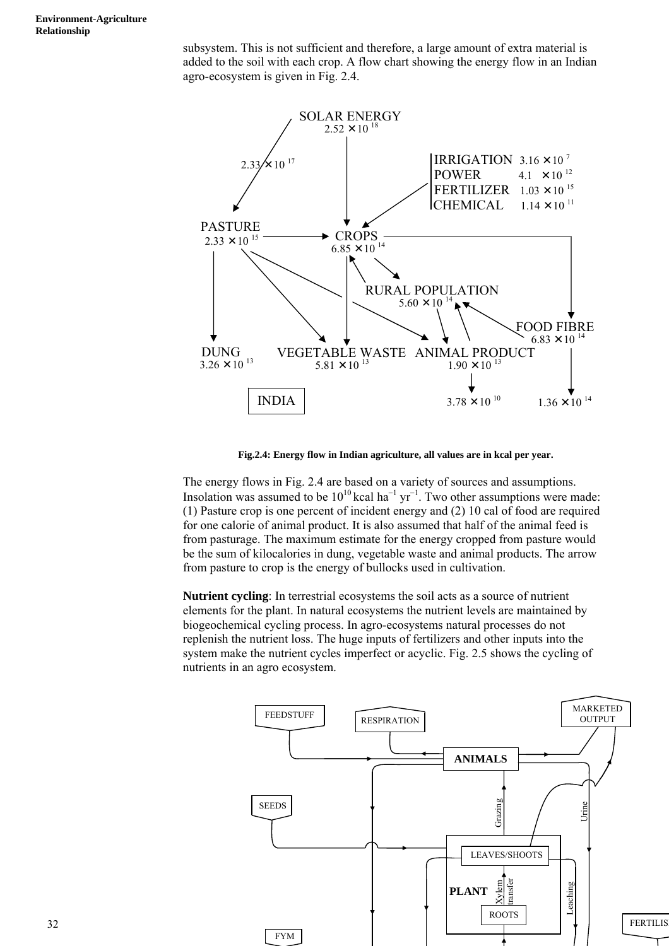subsystem. This is not sufficient and therefore, a large amount of extra material is added to the soil with each crop. A flow chart showing the energy flow in an Indian agro-ecosystem is given in Fig. 2.4.



**Fig.2.4: Energy flow in Indian agriculture, all values are in kcal per year.**

The energy flows in Fig. 2.4 are based on a variety of sources and assumptions. Insolation was assumed to be  $10^{10}$  kcal ha<sup>-1</sup> yr<sup>-1</sup>. Two other assumptions were made: (1) Pasture crop is one percent of incident energy and (2) 10 cal of food are required for one calorie of animal product. It is also assumed that half of the animal feed is from pasturage. The maximum estimate for the energy cropped from pasture would be the sum of kilocalories in dung, vegetable waste and animal products. The arrow from pasture to crop is the energy of bullocks used in cultivation.

**Nutrient cycling**: In terrestrial ecosystems the soil acts as a source of nutrient elements for the plant. In natural ecosystems the nutrient levels are maintained by biogeochemical cycling process. In agro-ecosystems natural processes do not replenish the nutrient loss. The huge inputs of fertilizers and other inputs into the system make the nutrient cycles imperfect or acyclic. Fig. 2.5 shows the cycling of nutrients in an agro ecosystem.

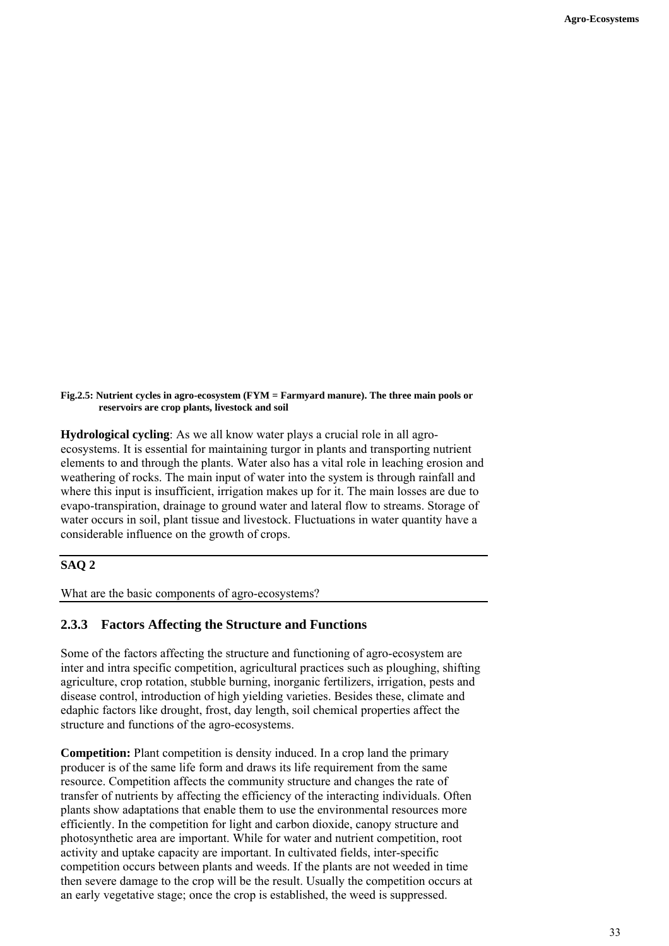**Fig.2.5: Nutrient cycles in agro-ecosystem (FYM = Farmyard manure). The three main pools or reservoirs are crop plants, livestock and soil**

**Hydrological cycling**: As we all know water plays a crucial role in all agroecosystems. It is essential for maintaining turgor in plants and transporting nutrient elements to and through the plants. Water also has a vital role in leaching erosion and weathering of rocks. The main input of water into the system is through rainfall and where this input is insufficient, irrigation makes up for it. The main losses are due to evapo-transpiration, drainage to ground water and lateral flow to streams. Storage of water occurs in soil, plant tissue and livestock. Fluctuations in water quantity have a considerable influence on the growth of crops.

# **SAQ 2**

What are the basic components of agro-ecosystems?

#### **2.3.3 Factors Affecting the Structure and Functions**

Some of the factors affecting the structure and functioning of agro-ecosystem are inter and intra specific competition, agricultural practices such as ploughing, shifting agriculture, crop rotation, stubble burning, inorganic fertilizers, irrigation, pests and disease control, introduction of high yielding varieties. Besides these, climate and edaphic factors like drought, frost, day length, soil chemical properties affect the structure and functions of the agro-ecosystems.

**Competition:** Plant competition is density induced. In a crop land the primary producer is of the same life form and draws its life requirement from the same resource. Competition affects the community structure and changes the rate of transfer of nutrients by affecting the efficiency of the interacting individuals. Often plants show adaptations that enable them to use the environmental resources more efficiently. In the competition for light and carbon dioxide, canopy structure and photosynthetic area are important. While for water and nutrient competition, root activity and uptake capacity are important. In cultivated fields, inter-specific competition occurs between plants and weeds. If the plants are not weeded in time then severe damage to the crop will be the result. Usually the competition occurs at an early vegetative stage; once the crop is established, the weed is suppressed.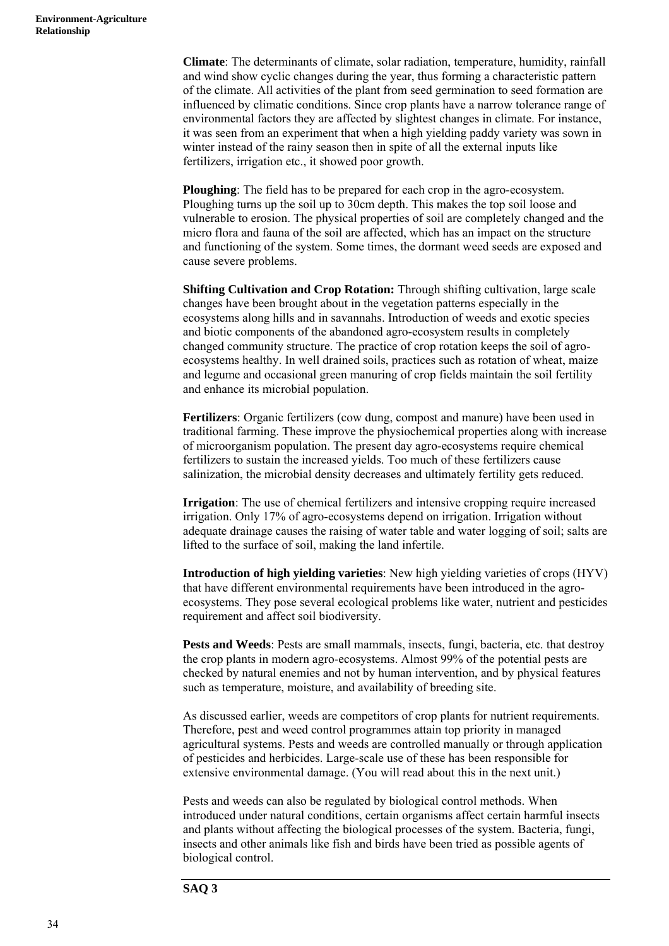**Climate**: The determinants of climate, solar radiation, temperature, humidity, rainfall and wind show cyclic changes during the year, thus forming a characteristic pattern of the climate. All activities of the plant from seed germination to seed formation are influenced by climatic conditions. Since crop plants have a narrow tolerance range of environmental factors they are affected by slightest changes in climate. For instance, it was seen from an experiment that when a high yielding paddy variety was sown in winter instead of the rainy season then in spite of all the external inputs like fertilizers, irrigation etc., it showed poor growth.

**Ploughing**: The field has to be prepared for each crop in the agro-ecosystem. Ploughing turns up the soil up to 30cm depth. This makes the top soil loose and vulnerable to erosion. The physical properties of soil are completely changed and the micro flora and fauna of the soil are affected, which has an impact on the structure and functioning of the system. Some times, the dormant weed seeds are exposed and cause severe problems.

**Shifting Cultivation and Crop Rotation:** Through shifting cultivation, large scale changes have been brought about in the vegetation patterns especially in the ecosystems along hills and in savannahs. Introduction of weeds and exotic species and biotic components of the abandoned agro-ecosystem results in completely changed community structure. The practice of crop rotation keeps the soil of agroecosystems healthy. In well drained soils, practices such as rotation of wheat, maize and legume and occasional green manuring of crop fields maintain the soil fertility and enhance its microbial population.

**Fertilizers**: Organic fertilizers (cow dung, compost and manure) have been used in traditional farming. These improve the physiochemical properties along with increase of microorganism population. The present day agro-ecosystems require chemical fertilizers to sustain the increased yields. Too much of these fertilizers cause salinization, the microbial density decreases and ultimately fertility gets reduced.

**Irrigation**: The use of chemical fertilizers and intensive cropping require increased irrigation. Only 17% of agro-ecosystems depend on irrigation. Irrigation without adequate drainage causes the raising of water table and water logging of soil; salts are lifted to the surface of soil, making the land infertile.

**Introduction of high yielding varieties**: New high yielding varieties of crops (HYV) that have different environmental requirements have been introduced in the agroecosystems. They pose several ecological problems like water, nutrient and pesticides requirement and affect soil biodiversity.

Pests and Weeds: Pests are small mammals, insects, fungi, bacteria, etc. that destroy the crop plants in modern agro-ecosystems. Almost 99% of the potential pests are checked by natural enemies and not by human intervention, and by physical features such as temperature, moisture, and availability of breeding site.

As discussed earlier, weeds are competitors of crop plants for nutrient requirements. Therefore, pest and weed control programmes attain top priority in managed agricultural systems. Pests and weeds are controlled manually or through application of pesticides and herbicides. Large-scale use of these has been responsible for extensive environmental damage. (You will read about this in the next unit.)

Pests and weeds can also be regulated by biological control methods. When introduced under natural conditions, certain organisms affect certain harmful insects and plants without affecting the biological processes of the system. Bacteria, fungi, insects and other animals like fish and birds have been tried as possible agents of biological control.

#### **SAQ 3**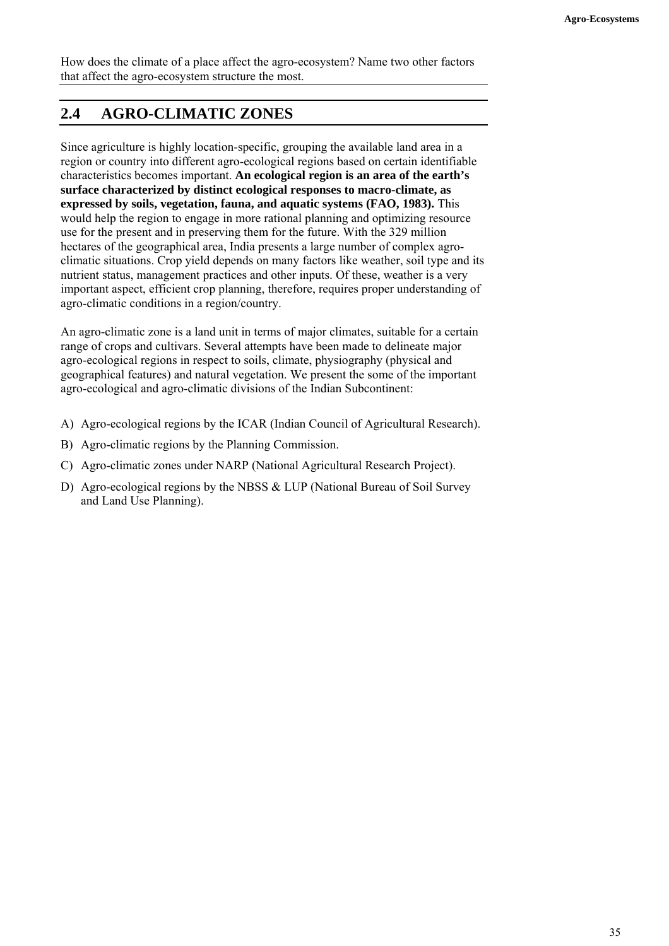How does the climate of a place affect the agro-ecosystem? Name two other factors that affect the agro-ecosystem structure the most.

# **2.4 AGRO-CLIMATIC ZONES**

Since agriculture is highly location-specific, grouping the available land area in a region or country into different agro-ecological regions based on certain identifiable characteristics becomes important. **An ecological region is an area of the earth's surface characterized by distinct ecological responses to macro-climate, as expressed by soils, vegetation, fauna, and aquatic systems (FAO, 1983).** This would help the region to engage in more rational planning and optimizing resource use for the present and in preserving them for the future. With the 329 million hectares of the geographical area, India presents a large number of complex agroclimatic situations. Crop yield depends on many factors like weather, soil type and its nutrient status, management practices and other inputs. Of these, weather is a very important aspect, efficient crop planning, therefore, requires proper understanding of agro-climatic conditions in a region/country.

An agro-climatic zone is a land unit in terms of major climates, suitable for a certain range of crops and cultivars. Several attempts have been made to delineate major agro-ecological regions in respect to soils, climate, physiography (physical and geographical features) and natural vegetation. We present the some of the important agro-ecological and agro-climatic divisions of the Indian Subcontinent:

- A) Agro-ecological regions by the ICAR (Indian Council of Agricultural Research).
- B) Agro-climatic regions by the Planning Commission.
- C) Agro-climatic zones under NARP (National Agricultural Research Project).
- D) Agro-ecological regions by the NBSS & LUP (National Bureau of Soil Survey and Land Use Planning).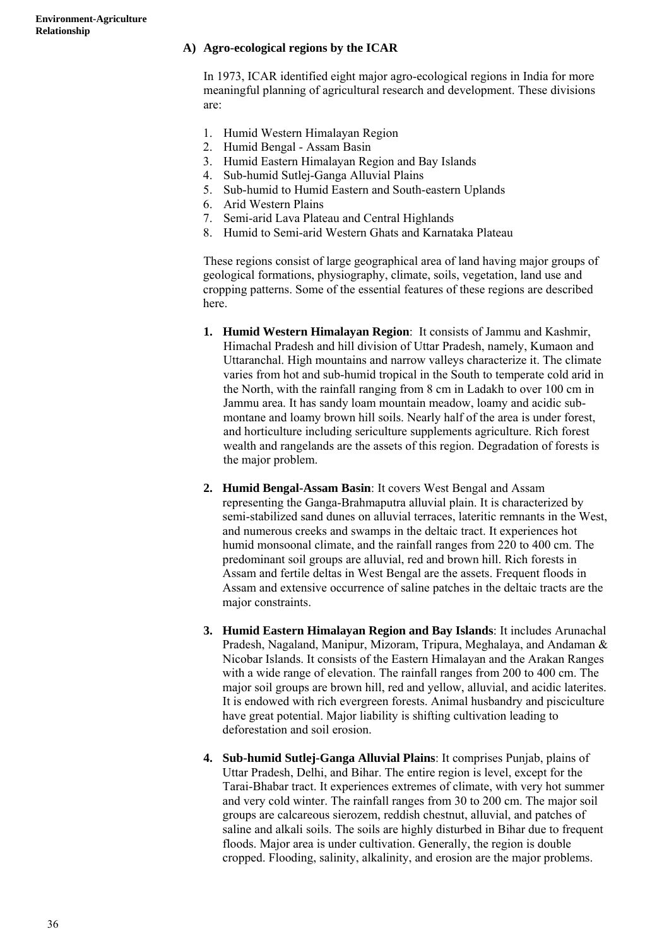#### **A) Agro-ecological regions by the ICAR**

In 1973, ICAR identified eight major agro-ecological regions in India for more meaningful planning of agricultural research and development. These divisions are:

- 1. Humid Western Himalayan Region
- 2. Humid Bengal Assam Basin
- 3. Humid Eastern Himalayan Region and Bay Islands
- 4. Sub-humid Sutlej-Ganga Alluvial Plains
- 5. Sub-humid to Humid Eastern and South-eastern Uplands
- 6. Arid Western Plains
- 7. Semi-arid Lava Plateau and Central Highlands
- 8. Humid to Semi-arid Western Ghats and Karnataka Plateau

 These regions consist of large geographical area of land having major groups of geological formations, physiography, climate, soils, vegetation, land use and cropping patterns. Some of the essential features of these regions are described here.

- **1. Humid Western Himalayan Region**: It consists of Jammu and Kashmir, Himachal Pradesh and hill division of Uttar Pradesh, namely, Kumaon and Uttaranchal. High mountains and narrow valleys characterize it. The climate varies from hot and sub-humid tropical in the South to temperate cold arid in the North, with the rainfall ranging from 8 cm in Ladakh to over 100 cm in Jammu area. It has sandy loam mountain meadow, loamy and acidic submontane and loamy brown hill soils. Nearly half of the area is under forest, and horticulture including sericulture supplements agriculture. Rich forest wealth and rangelands are the assets of this region. Degradation of forests is the major problem.
- **2. Humid Bengal-Assam Basin**: It covers West Bengal and Assam representing the Ganga-Brahmaputra alluvial plain. It is characterized by semi-stabilized sand dunes on alluvial terraces, lateritic remnants in the West, and numerous creeks and swamps in the deltaic tract. It experiences hot humid monsoonal climate, and the rainfall ranges from 220 to 400 cm. The predominant soil groups are alluvial, red and brown hill. Rich forests in Assam and fertile deltas in West Bengal are the assets. Frequent floods in Assam and extensive occurrence of saline patches in the deltaic tracts are the major constraints.
- **3. Humid Eastern Himalayan Region and Bay Islands**: It includes Arunachal Pradesh, Nagaland, Manipur, Mizoram, Tripura, Meghalaya, and Andaman & Nicobar Islands. It consists of the Eastern Himalayan and the Arakan Ranges with a wide range of elevation. The rainfall ranges from 200 to 400 cm. The major soil groups are brown hill, red and yellow, alluvial, and acidic laterites. It is endowed with rich evergreen forests. Animal husbandry and pisciculture have great potential. Major liability is shifting cultivation leading to deforestation and soil erosion.
- **4. Sub-humid Sutlej-Ganga Alluvial Plains**: It comprises Punjab, plains of Uttar Pradesh, Delhi, and Bihar. The entire region is level, except for the Tarai-Bhabar tract. It experiences extremes of climate, with very hot summer and very cold winter. The rainfall ranges from 30 to 200 cm. The major soil groups are calcareous sierozem, reddish chestnut, alluvial, and patches of saline and alkali soils. The soils are highly disturbed in Bihar due to frequent floods. Major area is under cultivation. Generally, the region is double cropped. Flooding, salinity, alkalinity, and erosion are the major problems.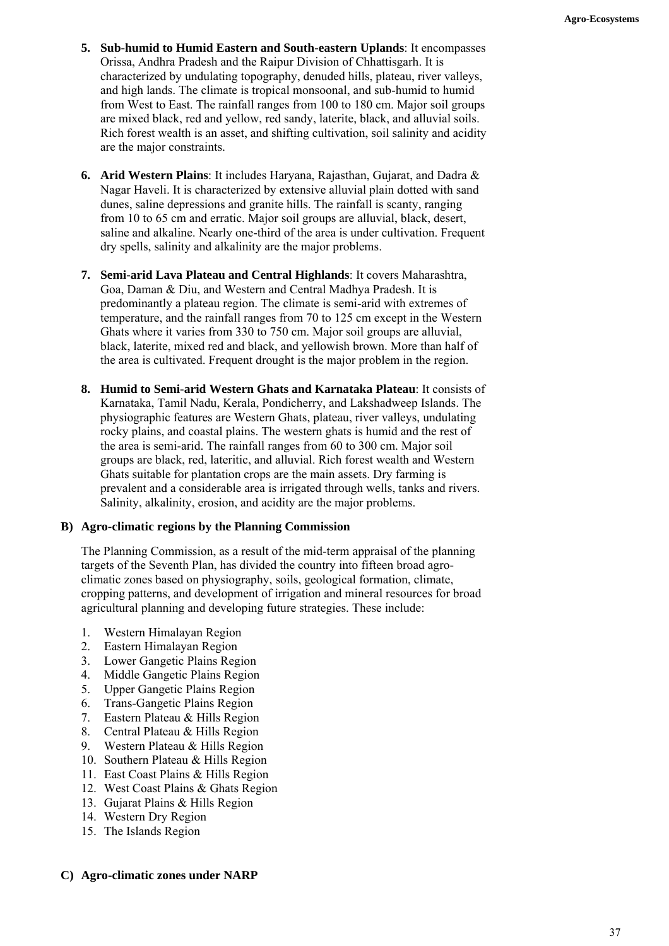- **5. Sub-humid to Humid Eastern and South-eastern Uplands**: It encompasses Orissa, Andhra Pradesh and the Raipur Division of Chhattisgarh. It is characterized by undulating topography, denuded hills, plateau, river valleys, and high lands. The climate is tropical monsoonal, and sub-humid to humid from West to East. The rainfall ranges from 100 to 180 cm. Major soil groups are mixed black, red and yellow, red sandy, laterite, black, and alluvial soils. Rich forest wealth is an asset, and shifting cultivation, soil salinity and acidity are the major constraints.
- **6. Arid Western Plains**: It includes Haryana, Rajasthan, Gujarat, and Dadra & Nagar Haveli. It is characterized by extensive alluvial plain dotted with sand dunes, saline depressions and granite hills. The rainfall is scanty, ranging from 10 to 65 cm and erratic. Major soil groups are alluvial, black, desert, saline and alkaline. Nearly one-third of the area is under cultivation. Frequent dry spells, salinity and alkalinity are the major problems.
- **7. Semi-arid Lava Plateau and Central Highlands**: It covers Maharashtra, Goa, Daman & Diu, and Western and Central Madhya Pradesh. It is predominantly a plateau region. The climate is semi-arid with extremes of temperature, and the rainfall ranges from 70 to 125 cm except in the Western Ghats where it varies from 330 to 750 cm. Major soil groups are alluvial, black, laterite, mixed red and black, and yellowish brown. More than half of the area is cultivated. Frequent drought is the major problem in the region.
- **8. Humid to Semi-arid Western Ghats and Karnataka Plateau**: It consists of Karnataka, Tamil Nadu, Kerala, Pondicherry, and Lakshadweep Islands. The physiographic features are Western Ghats, plateau, river valleys, undulating rocky plains, and coastal plains. The western ghats is humid and the rest of the area is semi-arid. The rainfall ranges from 60 to 300 cm. Major soil groups are black, red, lateritic, and alluvial. Rich forest wealth and Western Ghats suitable for plantation crops are the main assets. Dry farming is prevalent and a considerable area is irrigated through wells, tanks and rivers. Salinity, alkalinity, erosion, and acidity are the major problems.

## **B) Agro-climatic regions by the Planning Commission**

The Planning Commission, as a result of the mid-term appraisal of the planning targets of the Seventh Plan, has divided the country into fifteen broad agroclimatic zones based on physiography, soils, geological formation, climate, cropping patterns, and development of irrigation and mineral resources for broad agricultural planning and developing future strategies. These include:

- 1. Western Himalayan Region
- 2. Eastern Himalayan Region
- 3. Lower Gangetic Plains Region
- Middle Gangetic Plains Region
- 5. Upper Gangetic Plains Region
- 6. Trans-Gangetic Plains Region
- 7. Eastern Plateau & Hills Region
- 8. Central Plateau & Hills Region
- 9. Western Plateau & Hills Region
- 10. Southern Plateau & Hills Region
- 11. East Coast Plains & Hills Region
- 12. West Coast Plains & Ghats Region
- 13. Gujarat Plains & Hills Region
- 14. Western Dry Region
- 15. The Islands Region

#### **C) Agro-climatic zones under NARP**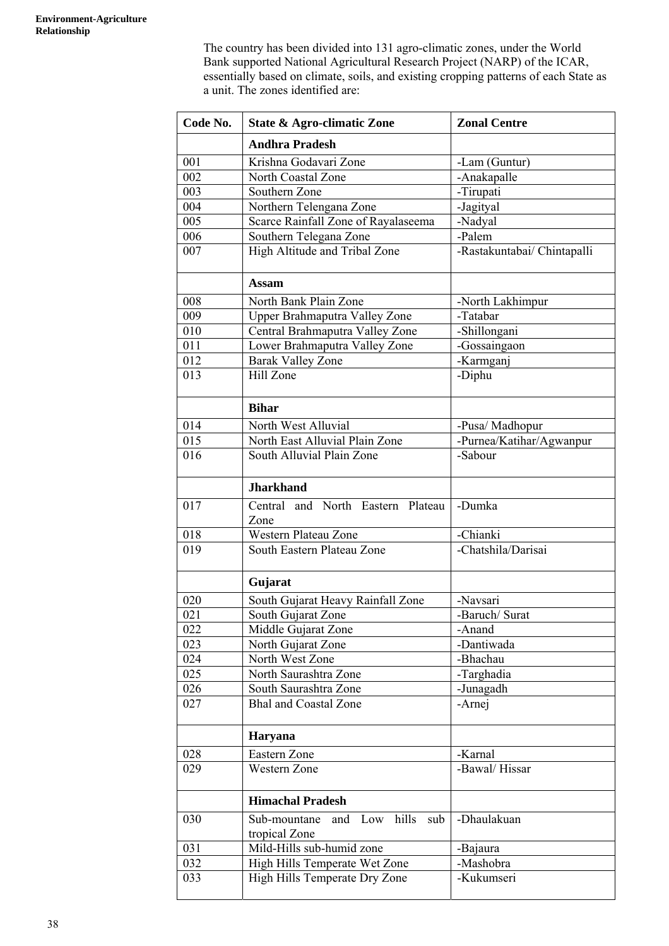The country has been divided into 131 agro-climatic zones, under the World Bank supported National Agricultural Research Project (NARP) of the ICAR, essentially based on climate, soils, and existing cropping patterns of each State as a unit. The zones identified are:

| Code No. | <b>State &amp; Agro-climatic Zone</b>                    | <b>Zonal Centre</b>         |
|----------|----------------------------------------------------------|-----------------------------|
|          | <b>Andhra Pradesh</b>                                    |                             |
| 001      | Krishna Godavari Zone                                    | -Lam (Guntur)               |
| 002      | North Coastal Zone                                       | -Anakapalle                 |
| 003      | Southern Zone                                            | -Tirupati                   |
| 004      | Northern Telengana Zone                                  | -Jagityal                   |
| 005      | Scarce Rainfall Zone of Rayalaseema                      | -Nadyal                     |
| 006      | Southern Telegana Zone                                   | -Palem                      |
| 007      | High Altitude and Tribal Zone                            | -Rastakuntabai/ Chintapalli |
|          | <b>Assam</b>                                             |                             |
| 008      | North Bank Plain Zone                                    | -North Lakhimpur            |
| 009      | Upper Brahmaputra Valley Zone                            | -Tatabar                    |
| 010      | Central Brahmaputra Valley Zone                          | -Shillongani                |
| 011      | Lower Brahmaputra Valley Zone                            | -Gossaingaon                |
| 012      | <b>Barak Valley Zone</b>                                 | -Karmganj                   |
| 013      | Hill Zone                                                | -Diphu                      |
|          | <b>Bihar</b>                                             |                             |
| 014      | North West Alluvial                                      | -Pusa/ Madhopur             |
| 015      | North East Alluvial Plain Zone                           | -Purnea/Katihar/Agwanpur    |
| 016      | South Alluvial Plain Zone                                | -Sabour                     |
|          | <b>Jharkhand</b>                                         |                             |
| 017      | Central and North Eastern Plateau<br>Zone                | -Dumka                      |
| 018      | Western Plateau Zone                                     | -Chianki                    |
| 019      | South Eastern Plateau Zone                               | -Chatshila/Darisai          |
|          | Gujarat                                                  |                             |
| 020      | South Gujarat Heavy Rainfall Zone                        | -Navsari                    |
| 021      | South Gujarat Zone                                       | -Baruch/ Surat              |
| 022      | Middle Gujarat Zone                                      | -Anand                      |
| 023      | North Gujarat Zone                                       | -Dantiwada                  |
| 024      | North West Zone                                          | -Bhachau                    |
| 025      | North Saurashtra Zone                                    | -Targhadia                  |
| 026      | South Saurashtra Zone                                    | -Junagadh                   |
| 027      | <b>Bhal and Coastal Zone</b>                             | -Arnej                      |
|          | <b>Haryana</b>                                           |                             |
| 028      | Eastern Zone                                             | -Karnal                     |
| 029      | Western Zone                                             | -Bawal/Hissar               |
|          | <b>Himachal Pradesh</b>                                  |                             |
| 030      | hills<br>Sub-mountane<br>and Low<br>sub<br>tropical Zone | -Dhaulakuan                 |
| 031      | Mild-Hills sub-humid zone                                | -Bajaura                    |
| 032      | High Hills Temperate Wet Zone                            | -Mashobra                   |
| 033      | High Hills Temperate Dry Zone                            | -Kukumseri                  |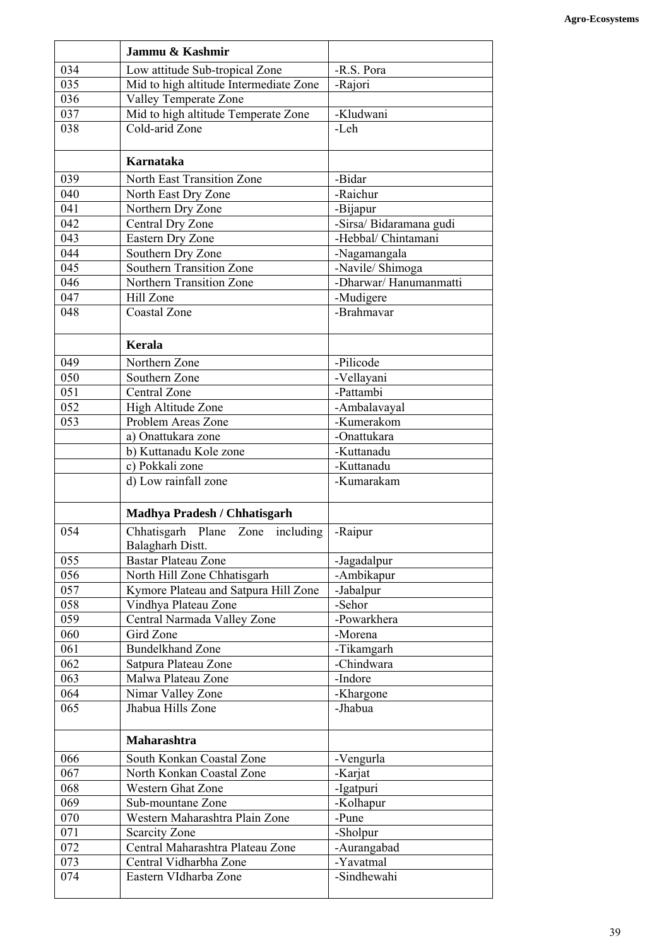|     | Jammu & Kashmir                                         |                         |
|-----|---------------------------------------------------------|-------------------------|
| 034 | Low attitude Sub-tropical Zone                          | -R.S. Pora              |
| 035 | Mid to high altitude Intermediate Zone                  | -Rajori                 |
| 036 | Valley Temperate Zone                                   |                         |
| 037 | Mid to high altitude Temperate Zone                     | -Kludwani               |
| 038 | Cold-arid Zone                                          | -Leh                    |
|     | Karnataka                                               |                         |
| 039 | North East Transition Zone                              | -Bidar                  |
| 040 | North East Dry Zone                                     | -Raichur                |
| 041 | Northern Dry Zone                                       | -Bijapur                |
| 042 | Central Dry Zone                                        | -Sirsa/ Bidaramana gudi |
| 043 | Eastern Dry Zone                                        | -Hebbal/ Chintamani     |
| 044 | Southern Dry Zone                                       | -Nagamangala            |
| 045 | <b>Southern Transition Zone</b>                         | -Navile/ Shimoga        |
| 046 | Northern Transition Zone                                | -Dharwar/Hanumanmatti   |
| 047 | Hill Zone                                               | -Mudigere               |
| 048 | <b>Coastal Zone</b>                                     | -Brahmavar              |
|     | Kerala                                                  |                         |
| 049 | Northern Zone                                           | -Pilicode               |
| 050 | Southern Zone                                           | -Vellayani              |
| 051 | <b>Central Zone</b>                                     | -Pattambi               |
| 052 | High Altitude Zone                                      | -Ambalavayal            |
| 053 | Problem Areas Zone                                      | -Kumerakom              |
|     | a) Onattukara zone                                      | -Onattukara             |
|     | b) Kuttanadu Kole zone                                  | -Kuttanadu              |
|     | c) Pokkali zone                                         | -Kuttanadu              |
|     | d) Low rainfall zone                                    | -Kumarakam              |
|     | <b>Madhya Pradesh / Chhatisgarh</b>                     |                         |
| 054 | Chhatisgarh Plane Zone<br>including<br>Balagharh Distt. | -Raipur                 |
| 055 | <b>Bastar Plateau Zone</b>                              | -Jagadalpur             |
| 056 | North Hill Zone Chhatisgarh                             | -Ambikapur              |
| 057 | Kymore Plateau and Satpura Hill Zone                    | -Jabalpur               |
| 058 | Vindhya Plateau Zone                                    | -Sehor                  |
| 059 | Central Narmada Valley Zone                             | -Powarkhera             |
| 060 | Gird Zone                                               | -Morena                 |
| 061 | <b>Bundelkhand Zone</b>                                 | -Tikamgarh              |
| 062 | Satpura Plateau Zone                                    | -Chindwara              |
| 063 | Malwa Plateau Zone                                      | -Indore                 |
| 064 | Nimar Valley Zone                                       | -Khargone               |
| 065 | Jhabua Hills Zone                                       | -Jhabua                 |
|     | Maharashtra                                             |                         |
| 066 | South Konkan Coastal Zone                               | -Vengurla               |
| 067 | North Konkan Coastal Zone                               | -Karjat                 |
| 068 | <b>Western Ghat Zone</b>                                | -Igatpuri               |
| 069 | Sub-mountane Zone                                       | -Kolhapur               |
| 070 | Western Maharashtra Plain Zone                          | -Pune                   |
| 071 | <b>Scarcity Zone</b>                                    | -Sholpur                |
| 072 | Central Maharashtra Plateau Zone                        | -Aurangabad             |
| 073 | Central Vidharbha Zone                                  | -Yavatmal               |
| 074 | Eastern VIdharba Zone                                   | -Sindhewahi             |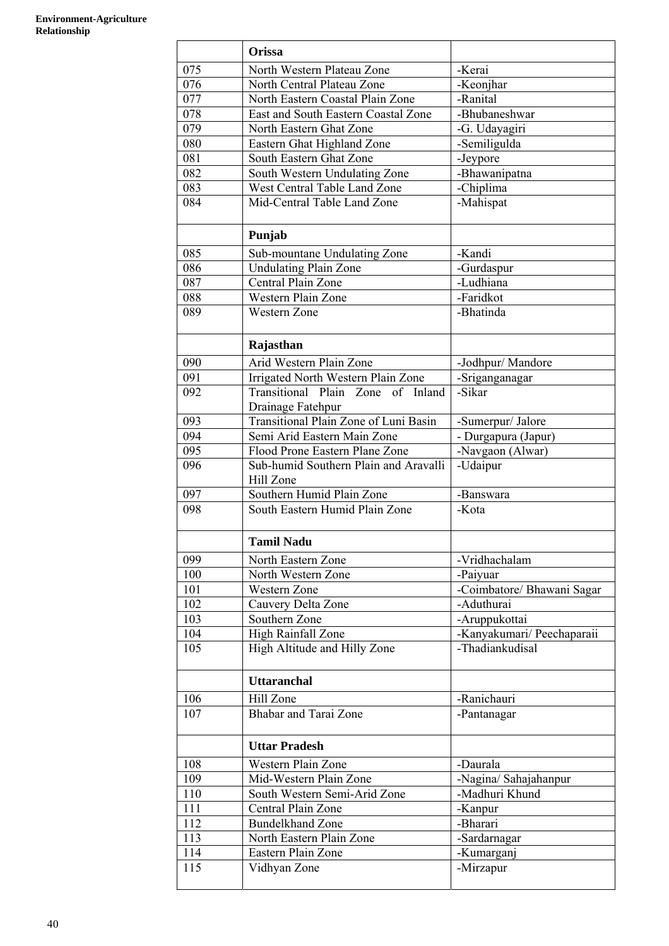|     | Orissa                                             |                            |
|-----|----------------------------------------------------|----------------------------|
| 075 | North Western Plateau Zone                         | -Kerai                     |
| 076 | North Central Plateau Zone                         | -Keonjhar                  |
| 077 | North Eastern Coastal Plain Zone                   | -Ranital                   |
| 078 | East and South Eastern Coastal Zone                | -Bhubaneshwar              |
| 079 | North Eastern Ghat Zone                            | -G. Udayagiri              |
| 080 | Eastern Ghat Highland Zone                         | -Semiligulda               |
| 081 | South Eastern Ghat Zone                            | -Jeypore                   |
| 082 | South Western Undulating Zone                      | -Bhawanipatna              |
| 083 | West Central Table Land Zone                       | -Chiplima                  |
| 084 | Mid-Central Table Land Zone                        | -Mahispat                  |
|     |                                                    |                            |
|     | Punjab                                             |                            |
| 085 | Sub-mountane Undulating Zone                       | -Kandi                     |
| 086 | <b>Undulating Plain Zone</b>                       | -Gurdaspur                 |
| 087 | Central Plain Zone                                 | -Ludhiana                  |
| 088 | Western Plain Zone                                 | -Faridkot                  |
| 089 | <b>Western Zone</b>                                | -Bhatinda                  |
|     |                                                    |                            |
|     | Rajasthan                                          |                            |
| 090 | Arid Western Plain Zone                            | -Jodhpur/ Mandore          |
| 091 | Irrigated North Western Plain Zone                 | -Sriganganagar             |
| 092 | Transitional Plain Zone of Inland                  | -Sikar                     |
|     | Drainage Fatehpur                                  |                            |
| 093 | Transitional Plain Zone of Luni Basin              | -Sumerpur/ Jalore          |
| 094 | Semi Arid Eastern Main Zone                        | - Durgapura (Japur)        |
| 095 | Flood Prone Eastern Plane Zone                     | -Navgaon (Alwar)           |
| 096 | Sub-humid Southern Plain and Aravalli<br>Hill Zone | -Udaipur                   |
| 097 | Southern Humid Plain Zone                          | -Banswara                  |
| 098 | South Eastern Humid Plain Zone                     | -Kota                      |
|     | <b>Tamil Nadu</b>                                  |                            |
| 099 | North Eastern Zone                                 | -Vridhachalam              |
| 100 | North Western Zone                                 | -Paiyuar                   |
| 101 | <b>Western Zone</b>                                | -Coimbatore/ Bhawani Sagar |
| 102 | Cauvery Delta Zone                                 | -Aduthurai                 |
| 103 | Southern Zone                                      | -Aruppukottai              |
| 104 | High Rainfall Zone                                 | -Kanyakumari/ Peechaparaii |
| 105 | High Altitude and Hilly Zone                       | -Thadiankudisal            |
|     |                                                    |                            |
|     | <b>Uttaranchal</b>                                 |                            |
| 106 | Hill Zone                                          | -Ranichauri                |
| 107 | <b>Bhabar and Tarai Zone</b>                       | -Pantanagar                |
|     | <b>Uttar Pradesh</b>                               |                            |
| 108 | Western Plain Zone                                 | -Daurala                   |
| 109 | Mid-Western Plain Zone                             | -Nagina/ Sahajahanpur      |
| 110 | South Western Semi-Arid Zone                       | -Madhuri Khund             |
| 111 | Central Plain Zone                                 | -Kanpur                    |
| 112 | <b>Bundelkhand Zone</b>                            | -Bharari                   |
| 113 | North Eastern Plain Zone                           | -Sardarnagar               |
| 114 | Eastern Plain Zone                                 | -Kumarganj                 |
| 115 | Vidhyan Zone                                       | -Mirzapur                  |
|     |                                                    |                            |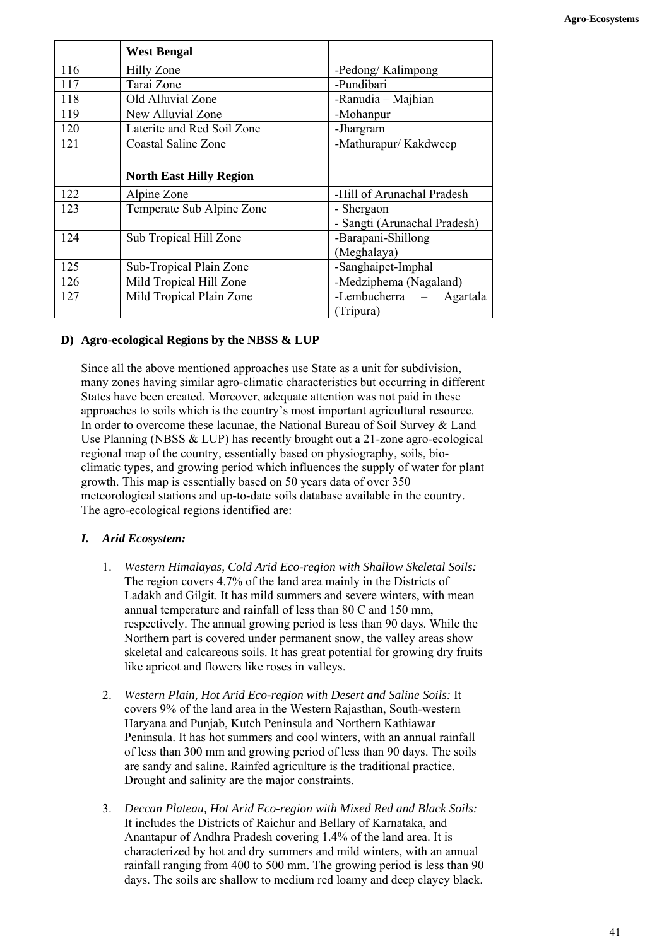|     | <b>West Bengal</b>             |                                                      |
|-----|--------------------------------|------------------------------------------------------|
| 116 | Hilly Zone                     | -Pedong/Kalimpong                                    |
| 117 | Tarai Zone                     | -Pundibari                                           |
| 118 | Old Alluvial Zone              | -Ranudia – Majhian                                   |
| 119 | New Alluvial Zone              | -Mohanpur                                            |
| 120 | Laterite and Red Soil Zone     | -Jhargram                                            |
| 121 | Coastal Saline Zone            | -Mathurapur/Kakdweep                                 |
|     | <b>North East Hilly Region</b> |                                                      |
| 122 | Alpine Zone                    | -Hill of Arunachal Pradesh                           |
| 123 | Temperate Sub Alpine Zone      | - Shergaon                                           |
|     |                                | - Sangti (Arunachal Pradesh)                         |
| 124 | Sub Tropical Hill Zone         | -Barapani-Shillong                                   |
|     |                                | (Meghalaya)                                          |
| 125 | Sub-Tropical Plain Zone        | -Sanghaipet-Imphal                                   |
| 126 | Mild Tropical Hill Zone        | -Medziphema (Nagaland)                               |
| 127 | Mild Tropical Plain Zone       | -Lembucherra<br>Agartala<br>$\overline{\phantom{a}}$ |
|     |                                | (Tripura)                                            |

## **D) Agro-ecological Regions by the NBSS & LUP**

Since all the above mentioned approaches use State as a unit for subdivision, many zones having similar agro-climatic characteristics but occurring in different States have been created. Moreover, adequate attention was not paid in these approaches to soils which is the country's most important agricultural resource. In order to overcome these lacunae, the National Bureau of Soil Survey & Land Use Planning (NBSS & LUP) has recently brought out a 21-zone agro-ecological regional map of the country, essentially based on physiography, soils, bioclimatic types, and growing period which influences the supply of water for plant growth. This map is essentially based on 50 years data of over 350 meteorological stations and up-to-date soils database available in the country. The agro-ecological regions identified are:

## *I. Arid Ecosystem:*

- 1. *Western Himalayas, Cold Arid Eco-region with Shallow Skeletal Soils:* The region covers 4.7% of the land area mainly in the Districts of Ladakh and Gilgit. It has mild summers and severe winters, with mean annual temperature and rainfall of less than 80 C and 150 mm, respectively. The annual growing period is less than 90 days. While the Northern part is covered under permanent snow, the valley areas show skeletal and calcareous soils. It has great potential for growing dry fruits like apricot and flowers like roses in valleys.
- 2. *Western Plain, Hot Arid Eco-region with Desert and Saline Soils:* It covers 9% of the land area in the Western Rajasthan, South-western Haryana and Punjab, Kutch Peninsula and Northern Kathiawar Peninsula. It has hot summers and cool winters, with an annual rainfall of less than 300 mm and growing period of less than 90 days. The soils are sandy and saline. Rainfed agriculture is the traditional practice. Drought and salinity are the major constraints.
- 3. *Deccan Plateau, Hot Arid Eco-region with Mixed Red and Black Soils:* It includes the Districts of Raichur and Bellary of Karnataka, and Anantapur of Andhra Pradesh covering 1.4% of the land area. It is characterized by hot and dry summers and mild winters, with an annual rainfall ranging from 400 to 500 mm. The growing period is less than 90 days. The soils are shallow to medium red loamy and deep clayey black.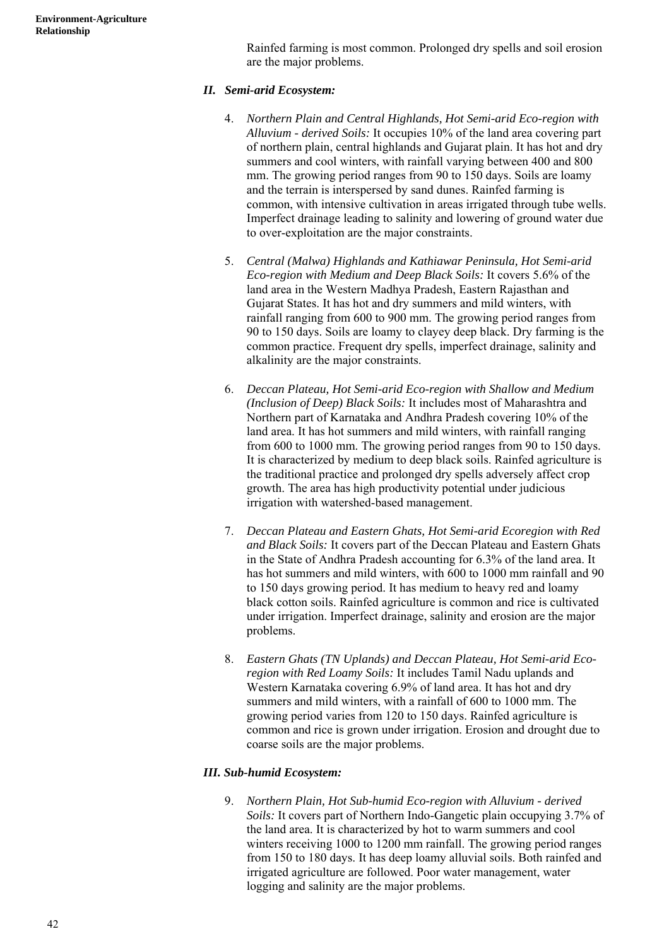Rainfed farming is most common. Prolonged dry spells and soil erosion are the major problems.

# *II. Semi-arid Ecosystem:*

- 4. *Northern Plain and Central Highlands, Hot Semi-arid Eco-region with Alluvium - derived Soils:* It occupies 10% of the land area covering part of northern plain, central highlands and Gujarat plain. It has hot and dry summers and cool winters, with rainfall varying between 400 and 800 mm. The growing period ranges from 90 to 150 days. Soils are loamy and the terrain is interspersed by sand dunes. Rainfed farming is common, with intensive cultivation in areas irrigated through tube wells. Imperfect drainage leading to salinity and lowering of ground water due to over-exploitation are the major constraints.
- 5. *Central (Malwa) Highlands and Kathiawar Peninsula, Hot Semi-arid Eco-region with Medium and Deep Black Soils:* It covers 5.6% of the land area in the Western Madhya Pradesh, Eastern Rajasthan and Gujarat States. It has hot and dry summers and mild winters, with rainfall ranging from 600 to 900 mm. The growing period ranges from 90 to 150 days. Soils are loamy to clayey deep black. Dry farming is the common practice. Frequent dry spells, imperfect drainage, salinity and alkalinity are the major constraints.
- 6. *Deccan Plateau, Hot Semi-arid Eco-region with Shallow and Medium (Inclusion of Deep) Black Soils:* It includes most of Maharashtra and Northern part of Karnataka and Andhra Pradesh covering 10% of the land area. It has hot summers and mild winters, with rainfall ranging from 600 to 1000 mm. The growing period ranges from 90 to 150 days. It is characterized by medium to deep black soils. Rainfed agriculture is the traditional practice and prolonged dry spells adversely affect crop growth. The area has high productivity potential under judicious irrigation with watershed-based management.
- 7. *Deccan Plateau and Eastern Ghats, Hot Semi-arid Ecoregion with Red and Black Soils:* It covers part of the Deccan Plateau and Eastern Ghats in the State of Andhra Pradesh accounting for 6.3% of the land area. It has hot summers and mild winters, with 600 to 1000 mm rainfall and 90 to 150 days growing period. It has medium to heavy red and loamy black cotton soils. Rainfed agriculture is common and rice is cultivated under irrigation. Imperfect drainage, salinity and erosion are the major problems.
- 8. *Eastern Ghats (TN Uplands) and Deccan Plateau, Hot Semi-arid Ecoregion with Red Loamy Soils:* It includes Tamil Nadu uplands and Western Karnataka covering 6.9% of land area. It has hot and dry summers and mild winters, with a rainfall of 600 to 1000 mm. The growing period varies from 120 to 150 days. Rainfed agriculture is common and rice is grown under irrigation. Erosion and drought due to coarse soils are the major problems.

## *III. Sub-humid Ecosystem:*

 9. *Northern Plain, Hot Sub-humid Eco-region with Alluvium - derived Soils:* It covers part of Northern Indo-Gangetic plain occupying 3.7% of the land area. It is characterized by hot to warm summers and cool winters receiving 1000 to 1200 mm rainfall. The growing period ranges from 150 to 180 days. It has deep loamy alluvial soils. Both rainfed and irrigated agriculture are followed. Poor water management, water logging and salinity are the major problems.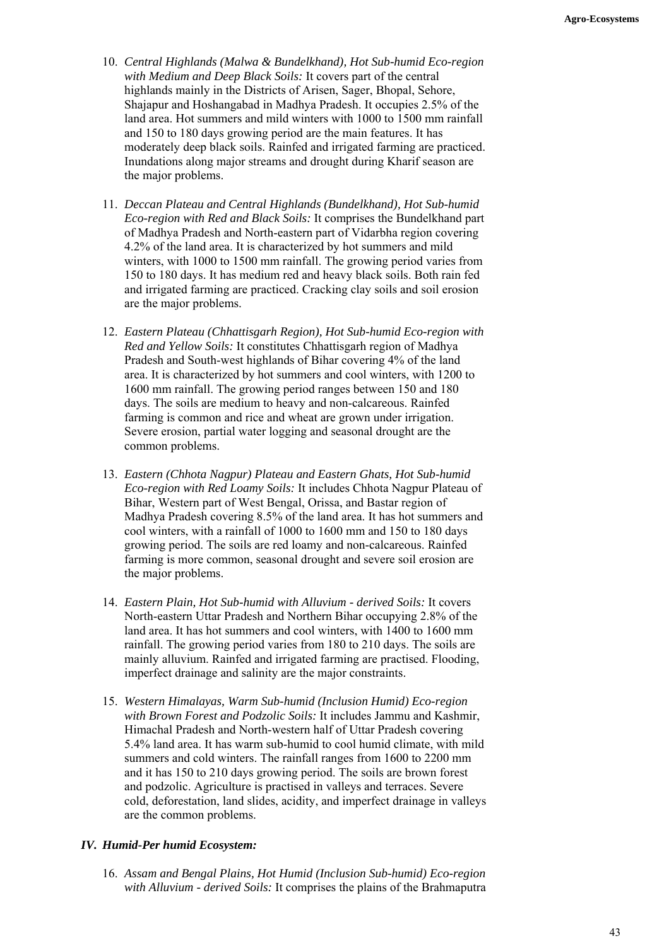- 10. *Central Highlands (Malwa & Bundelkhand), Hot Sub-humid Eco-region with Medium and Deep Black Soils:* It covers part of the central highlands mainly in the Districts of Arisen, Sager, Bhopal, Sehore, Shajapur and Hoshangabad in Madhya Pradesh. It occupies 2.5% of the land area. Hot summers and mild winters with 1000 to 1500 mm rainfall and 150 to 180 days growing period are the main features. It has moderately deep black soils. Rainfed and irrigated farming are practiced. Inundations along major streams and drought during Kharif season are the major problems.
- 11. *Deccan Plateau and Central Highlands (Bundelkhand), Hot Sub-humid Eco-region with Red and Black Soils:* It comprises the Bundelkhand part of Madhya Pradesh and North-eastern part of Vidarbha region covering 4.2% of the land area. It is characterized by hot summers and mild winters, with 1000 to 1500 mm rainfall. The growing period varies from 150 to 180 days. It has medium red and heavy black soils. Both rain fed and irrigated farming are practiced. Cracking clay soils and soil erosion are the major problems.
- 12. *Eastern Plateau (Chhattisgarh Region), Hot Sub-humid Eco-region with Red and Yellow Soils:* It constitutes Chhattisgarh region of Madhya Pradesh and South-west highlands of Bihar covering 4% of the land area. It is characterized by hot summers and cool winters, with 1200 to 1600 mm rainfall. The growing period ranges between 150 and 180 days. The soils are medium to heavy and non-calcareous. Rainfed farming is common and rice and wheat are grown under irrigation. Severe erosion, partial water logging and seasonal drought are the common problems.
- 13. *Eastern (Chhota Nagpur) Plateau and Eastern Ghats, Hot Sub-humid Eco-region with Red Loamy Soils:* It includes Chhota Nagpur Plateau of Bihar, Western part of West Bengal, Orissa, and Bastar region of Madhya Pradesh covering 8.5% of the land area. It has hot summers and cool winters, with a rainfall of 1000 to 1600 mm and 150 to 180 days growing period. The soils are red loamy and non-calcareous. Rainfed farming is more common, seasonal drought and severe soil erosion are the major problems.
- 14. *Eastern Plain, Hot Sub-humid with Alluvium derived Soils:* It covers North-eastern Uttar Pradesh and Northern Bihar occupying 2.8% of the land area. It has hot summers and cool winters, with 1400 to 1600 mm rainfall. The growing period varies from 180 to 210 days. The soils are mainly alluvium. Rainfed and irrigated farming are practised. Flooding, imperfect drainage and salinity are the major constraints.
- 15. *Western Himalayas, Warm Sub-humid (Inclusion Humid) Eco-region with Brown Forest and Podzolic Soils:* It includes Jammu and Kashmir, Himachal Pradesh and North-western half of Uttar Pradesh covering 5.4% land area. It has warm sub-humid to cool humid climate, with mild summers and cold winters. The rainfall ranges from 1600 to 2200 mm and it has 150 to 210 days growing period. The soils are brown forest and podzolic. Agriculture is practised in valleys and terraces. Severe cold, deforestation, land slides, acidity, and imperfect drainage in valleys are the common problems.

#### *IV. Humid-Per humid Ecosystem:*

 16. *Assam and Bengal Plains, Hot Humid (Inclusion Sub-humid) Eco-region with Alluvium - derived Soils:* It comprises the plains of the Brahmaputra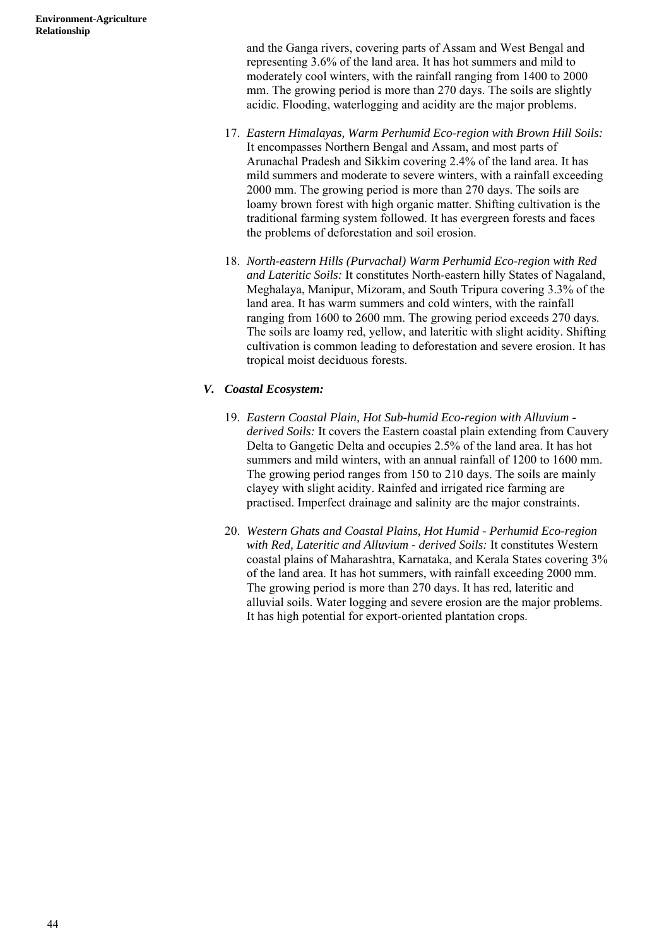and the Ganga rivers, covering parts of Assam and West Bengal and representing 3.6% of the land area. It has hot summers and mild to moderately cool winters, with the rainfall ranging from 1400 to 2000 mm. The growing period is more than 270 days. The soils are slightly acidic. Flooding, waterlogging and acidity are the major problems.

- 17. *Eastern Himalayas, Warm Perhumid Eco-region with Brown Hill Soils:* It encompasses Northern Bengal and Assam, and most parts of Arunachal Pradesh and Sikkim covering 2.4% of the land area. It has mild summers and moderate to severe winters, with a rainfall exceeding 2000 mm. The growing period is more than 270 days. The soils are loamy brown forest with high organic matter. Shifting cultivation is the traditional farming system followed. It has evergreen forests and faces the problems of deforestation and soil erosion.
- 18. *North-eastern Hills (Purvachal) Warm Perhumid Eco-region with Red and Lateritic Soils:* It constitutes North-eastern hilly States of Nagaland, Meghalaya, Manipur, Mizoram, and South Tripura covering 3.3% of the land area. It has warm summers and cold winters, with the rainfall ranging from 1600 to 2600 mm. The growing period exceeds 270 days. The soils are loamy red, yellow, and lateritic with slight acidity. Shifting cultivation is common leading to deforestation and severe erosion. It has tropical moist deciduous forests.

# *V. Coastal Ecosystem:*

- 19. *Eastern Coastal Plain, Hot Sub-humid Eco-region with Alluvium derived Soils:* It covers the Eastern coastal plain extending from Cauvery Delta to Gangetic Delta and occupies 2.5% of the land area. It has hot summers and mild winters, with an annual rainfall of 1200 to 1600 mm. The growing period ranges from 150 to 210 days. The soils are mainly clayey with slight acidity. Rainfed and irrigated rice farming are practised. Imperfect drainage and salinity are the major constraints.
- 20. *Western Ghats and Coastal Plains, Hot Humid Perhumid Eco-region with Red, Lateritic and Alluvium - derived Soils:* It constitutes Western coastal plains of Maharashtra, Karnataka, and Kerala States covering 3% of the land area. It has hot summers, with rainfall exceeding 2000 mm. The growing period is more than 270 days. It has red, lateritic and alluvial soils. Water logging and severe erosion are the major problems. It has high potential for export-oriented plantation crops.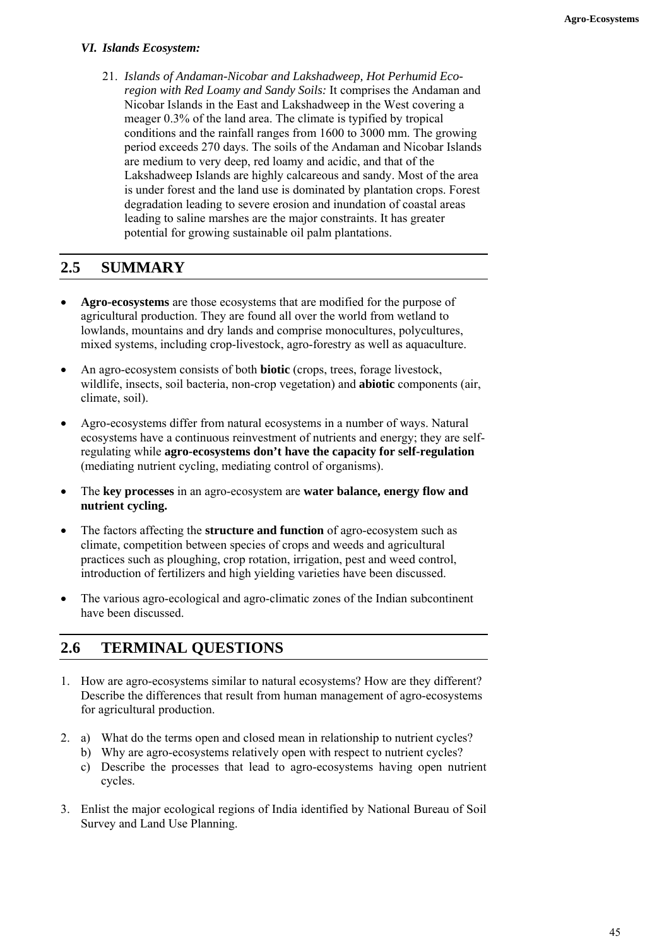#### *VI. Islands Ecosystem:*

 21. *Islands of Andaman-Nicobar and Lakshadweep, Hot Perhumid Ecoregion with Red Loamy and Sandy Soils:* It comprises the Andaman and Nicobar Islands in the East and Lakshadweep in the West covering a meager 0.3% of the land area. The climate is typified by tropical conditions and the rainfall ranges from 1600 to 3000 mm. The growing period exceeds 270 days. The soils of the Andaman and Nicobar Islands are medium to very deep, red loamy and acidic, and that of the Lakshadweep Islands are highly calcareous and sandy. Most of the area is under forest and the land use is dominated by plantation crops. Forest degradation leading to severe erosion and inundation of coastal areas leading to saline marshes are the major constraints. It has greater potential for growing sustainable oil palm plantations.

# **2.5 SUMMARY**

- **Agro-ecosystems** are those ecosystems that are modified for the purpose of agricultural production. They are found all over the world from wetland to lowlands, mountains and dry lands and comprise monocultures, polycultures, mixed systems, including crop-livestock, agro-forestry as well as aquaculture.
- An agro-ecosystem consists of both **biotic** (crops, trees, forage livestock, wildlife, insects, soil bacteria, non-crop vegetation) and **abiotic** components (air, climate, soil).
- Agro-ecosystems differ from natural ecosystems in a number of ways. Natural ecosystems have a continuous reinvestment of nutrients and energy; they are selfregulating while **agro-ecosystems don't have the capacity for self-regulation** (mediating nutrient cycling, mediating control of organisms).
- The **key processes** in an agro-ecosystem are **water balance, energy flow and nutrient cycling.**
- The factors affecting the **structure and function** of agro-ecosystem such as climate, competition between species of crops and weeds and agricultural practices such as ploughing, crop rotation, irrigation, pest and weed control, introduction of fertilizers and high yielding varieties have been discussed.
- The various agro-ecological and agro-climatic zones of the Indian subcontinent have been discussed.

# **2.6 TERMINAL QUESTIONS**

- 1. How are agro-ecosystems similar to natural ecosystems? How are they different? Describe the differences that result from human management of agro-ecosystems for agricultural production.
- 2. a) What do the terms open and closed mean in relationship to nutrient cycles?
	- b) Why are agro-ecosystems relatively open with respect to nutrient cycles?
	- c) Describe the processes that lead to agro-ecosystems having open nutrient cycles.
- 3. Enlist the major ecological regions of India identified by National Bureau of Soil Survey and Land Use Planning.